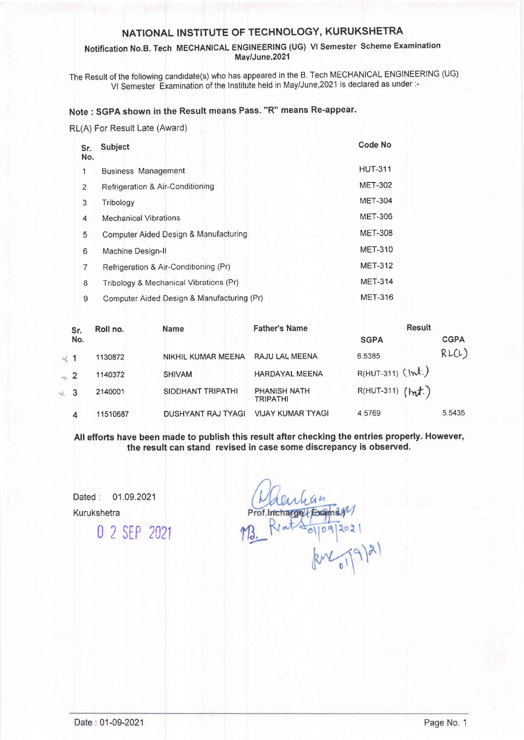# NATIONAL INSTITUTE OF TECHNOLOGY, KURUKSHETRA

### Notification No.B. Tech MECHANICAL ENGINEERING (UG) Vl Semester Scheme Examination Mav/June,2021

The Result of the following candidate(s) who has appeared in the B. Tech MECHANICAL ENGINEERING (UG) Vl Semester Examination of the lnstitute held in May/June,2O21 is declared as under:-

### Note : SGPA shown in the Result means Pass. "R" means Re-appear'

RL(A) For Result Late (Award)

| Sr.<br>No.     | Subject                                    | <b>Code No</b> |
|----------------|--------------------------------------------|----------------|
|                | <b>Business Management</b>                 | <b>HUT-311</b> |
| $\overline{2}$ | Refrigeration & Air-Conditioning           | <b>MET-302</b> |
| 3              | Tribology                                  | <b>MET-304</b> |
| 4              | <b>Mechanical Vibrations</b>               | <b>MET-306</b> |
| 5              | Computer Aided Design & Manufacturing      | <b>MET-308</b> |
| 6              | Machine Design-II                          | <b>MET-310</b> |
| 7              | Refrigeration & Air-Conditioning (Pr)      | <b>MET-312</b> |
| 8              | Tribology & Mechanical Vibrations (Pr)     | <b>MET-314</b> |
| 9              | Computer Aided Design & Manufacturing (Pr) | <b>MET-316</b> |

| Sr.             |     | Roll no. | <b>Name</b>               | <b>Father's Name</b>                   | <b>Result</b>             |             |
|-----------------|-----|----------|---------------------------|----------------------------------------|---------------------------|-------------|
|                 | No. |          | CH.                       |                                        | <b>SGPA</b>               | <b>CGPA</b> |
| $\sim$ 1        |     | 1130872  | <b>NIKHIL KUMAR MEENA</b> | RAJU LAL MEENA                         | 6.5385                    | RL(L)       |
| $\rightarrow 2$ |     | 1140372  | <b>SHIVAM</b>             | <b>HARDAYAL MEENA</b>                  | $R(HUT-311)$ ( $\mu t$ .) |             |
| $\times$ 3      |     | 2140001  | SIDDHANT TRIPATHI         | <b>PHANISH NATH</b><br><b>TRIPATHI</b> | $R(HUT-311)$ $(Hnt.)$     |             |
|                 | 4   | 11510687 | <b>DUSHYANT RAJ TYAGI</b> | <b>VIJAY KUMAR TYAGI</b>               | 4 5769                    | 5.5435      |

All efforts have been made to publish this result after checking the entries properly. However, the result can stand revised in case some discrepancy is observed.

Dated: 01.09.2021 Kurukshetra 0 2 sEP <sup>2021</sup> ge (Exams  $109$  $202$  $(9)$ 2)